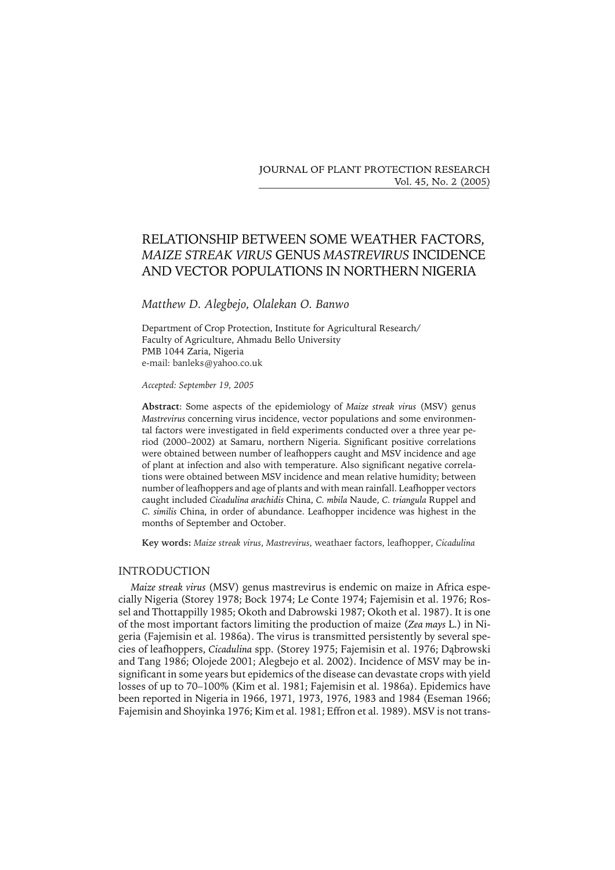JOURNAL OF PLANT PROTECTION RESEARCH Vol. 45, No. 2 (2005)

# RELATIONSHIP BETWEEN SOME WEATHER FACTORS, *MAIZE STREAK VIRUS* GENUS *MASTREVIRUS* INCIDENCE AND VECTOR POPULATIONS IN NORTHERN NIGERIA

## *Matthew D. Alegbejo, Olalekan O. Banwo*

Department of Crop Protection, Institute for Agricultural Research/ Faculty of Agriculture, Ahmadu Bello University PMB 1044 Zaria, Nigeria e-mail: banleks@yahoo.co.uk

*Accepted: September 19, 2005*

**Abstract**: Some aspects of the epidemiology of *Maize streak virus* (MSV) genus *Mastrevirus* concerning virus incidence, vector populations and some environmental factors were investigated in field experiments conducted over a three year period (2000–2002) at Samaru, northern Nigeria. Significant positive correlations were obtained between number of leafhoppers caught and MSV incidence and age of plant at infection and also with temperature. Also significant negative correlations were obtained between MSV incidence and mean relative humidity; between number of leafhoppers and age of plants and with mean rainfall. Leafhopper vectors caught included *Cicadulina arachidis* China, *C. mbila* Naude, *C. triangula* Ruppel and *C. similis* China, in order of abundance. Leafhopper incidence was highest in the months of September and October.

**Key words:** *Maize streak virus*, *Mastrevirus*, weathaer factors, leafhopper, *Cicadulina*

#### INTRODUCTION

*Maize streak virus* (MSV) genus mastrevirus is endemicon maize in Africa especially Nigeria (Storey 1978; Bock 1974; Le Conte 1974; Fajemisin et al. 1976; Rossel and Thottappilly 1985; Okoth and Dabrowski 1987; Okoth et al. 1987). It is one of the most important factors limiting the production of maize (*Zea mays* L.) in Nigeria (Fajemisin et al. 1986a). The virus is transmitted persistently by several species of leafhoppers, *Cicadulina* spp. (Storey 1975; Fajemisin et al. 1976; Dąbrowski and Tang 1986; Olojede 2001; Alegbejo et al. 2002). Incidence of MSV may be insignificant in some years but epidemics of the disease can devastate crops with yield losses of up to 70–100% (Kim et al. 1981; Fajemisin et al. 1986a). Epidemics have been reported in Nigeria in 1966, 1971, 1973, 1976, 1983 and 1984 (Eseman 1966; Fajemisin and Shoyinka 1976; Kim et al. 1981; Effron et al. 1989). MSV is not trans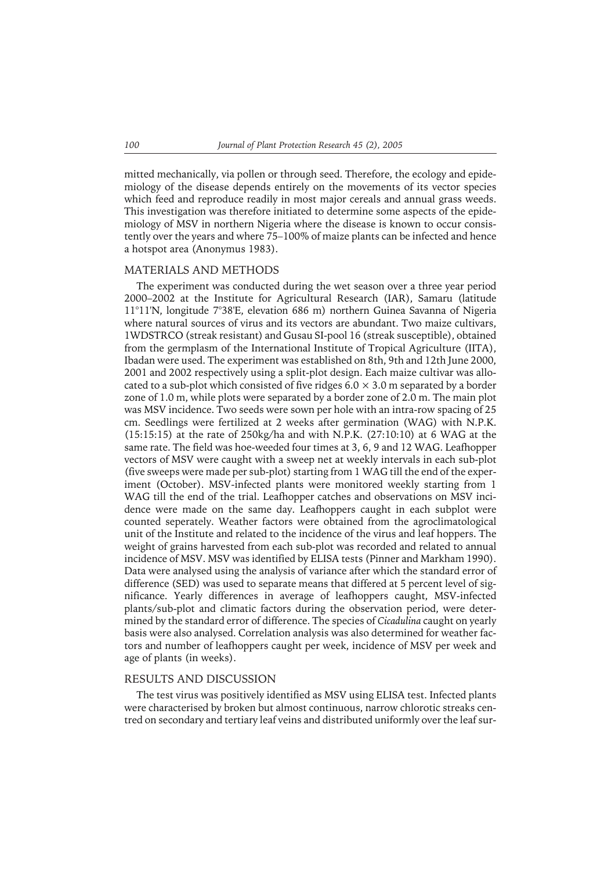mitted mechanically, via pollen or through seed. Therefore, the ecology and epidemiology of the disease depends entirely on the movements of its vector species which feed and reproduce readily in most major cereals and annual grass weeds. This investigation was therefore initiated to determine some aspects of the epidemiology of MSV in northern Nigeria where the disease is known to occur consistently over the years and where 75–100% of maize plants can be infected and hence a hotspot area (Anonymus 1983).

### MATERIALS AND METHODS

The experiment was conducted during the wet season over a three year period 2000–2002 at the Institute for Agricultural Research (IAR), Samaru (latitude 11°11'N, longitude 7°38'E, elevation 686 m) northern Guinea Savanna of Nigeria where natural sources of virus and its vectors are abundant. Two maize cultivars, 1WDSTRCO (streak resistant) and Gusau SI-pool 16 (streak susceptible), obtained from the germplasm of the International Institute of Tropical Agriculture (IITA), Ibadan were used. The experiment was established on 8th, 9th and 12th June 2000, 2001 and 2002 respectively using a split-plot design. Each maize cultivar was allocated to a sub-plot which consisted of five ridges  $6.0 \times 3.0$  m separated by a border zone of 1.0 m, while plots were separated by a border zone of 2.0 m. The main plot was MSV incidence. Two seeds were sown per hole with an intra-row spacing of 25 cm. Seedlings were fertilized at 2 weeks after germination (WAG) with N.P.K. (15:15:15) at the rate of 250kg/ha and with N.P.K. (27:10:10) at 6 WAG at the same rate. The field was hoe-weeded four times at 3, 6, 9 and 12 WAG. Leafhopper vectors of MSV were caught with a sweep net at weekly intervals in each sub-plot (five sweeps were made per sub-plot) starting from 1 WAG till the end of the experiment (October). MSV-infected plants were monitored weekly starting from 1 WAG till the end of the trial. Leafhopper catches and observations on MSV incidence were made on the same day. Leafhoppers caught in each subplot were counted seperately. Weather factors were obtained from the agroclimatological unit of the Institute and related to the incidence of the virus and leaf hoppers. The weight of grains harvested from each sub-plot was recorded and related to annual incidence of MSV. MSV was identified by ELISA tests (Pinner and Markham 1990). Data were analysed using the analysis of variance after which the standard error of difference (SED) was used to separate means that differed at 5 percent level of significance. Yearly differences in average of leafhoppers caught, MSV-infected plants/sub-plot and climatic factors during the observation period, were determined by the standard error of difference. The species of *Cicadulina* caught on yearly basis were also analysed. Correlation analysis was also determined for weather factors and number of leafhoppers caught per week, incidence of MSV per week and age of plants (in weeks).

#### RESULTS AND DISCUSSION

The test virus was positively identified as MSV using ELISA test. Infected plants were characterised by broken but almost continuous, narrow chlorotic streaks centred on secondary and tertiary leaf veins and distributed uniformly over the leaf sur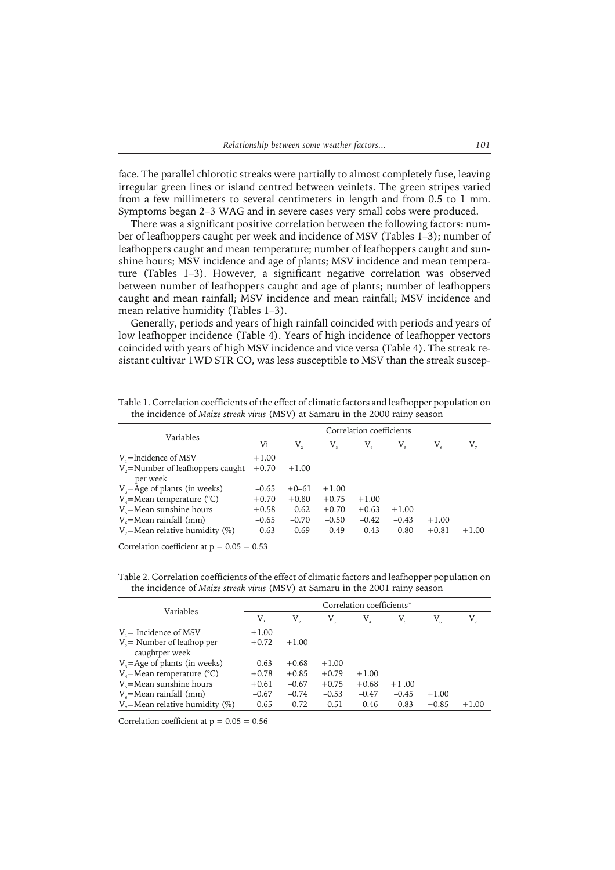face. The parallel chlorotic streaks were partially to almost completely fuse, leaving irregular green lines or island centred between veinlets. The green stripes varied from a few millimeters to several centimeters in length and from 0.5 to 1 mm. Symptoms began 2–3 WAG and in severe cases very small cobs were produced.

There was a significant positive correlation between the following factors: number of leafhoppers caught per week and incidence of MSV (Tables 1–3); number of leafhoppers caught and mean temperature; number of leafhoppers caught and sunshine hours; MSV incidence and age of plants; MSV incidence and mean temperature (Tables 1–3). However, a significant negative correlation was observed between number of leafhoppers caught and age of plants; number of leafhoppers caught and mean rainfall; MSV incidence and mean rainfall; MSV incidence and mean relative humidity (Tables 1–3).

Generally, periods and years of high rainfall coincided with periods and years of low leafhopper incidence (Table 4). Years of high incidence of leafhopper vectors coincided with years of high MSV incidence and vice versa (Table 4). The streak resistant cultivar 1WD STR CO, was less susceptible to MSV than the streak suscep-

Table 1. Correlation coefficients of the effect of climatic factors and leafhopper population on the incidence of *Maize streak virus* (MSV) at Samaru in the 2000 rainy season

|                                                | Correlation coefficients |         |             |         |         |         |         |  |  |
|------------------------------------------------|--------------------------|---------|-------------|---------|---------|---------|---------|--|--|
| Variables                                      | Vi                       | V,      | $V_{\rm g}$ | V,      |         | V,      |         |  |  |
| $V_i$ =lncidence of MSV                        | $+1.00$                  |         |             |         |         |         |         |  |  |
| $V =$ Number of leafhoppers caught<br>per week | $+0.70$                  | $+1.00$ |             |         |         |         |         |  |  |
| $Va=$ Age of plants (in weeks)                 | $-0.65$                  | $+0-61$ | $+1.00$     |         |         |         |         |  |  |
| $V = Mean$ temperature (°C)                    | $+0.70$                  | $+0.80$ | $+0.75$     | $+1.00$ |         |         |         |  |  |
| $Vs$ =Mean sunshine hours                      | $+0.58$                  | $-0.62$ | $+0.70$     | $+0.63$ | $+1.00$ |         |         |  |  |
| $V_{e}$ =Mean rainfall (mm)                    | $-0.65$                  | $-0.70$ | $-0.50$     | $-0.42$ | $-0.43$ | $+1.00$ |         |  |  |
| $V =$ Mean relative humidity (%)               | $-0.63$                  | $-0.69$ | $-0.49$     | $-0.43$ | $-0.80$ | $+0.81$ | $+1.00$ |  |  |

Correlation coefficient at  $p = 0.05 = 0.53$ 

Table 2. Correlation coefficients of the effect of climatic factors and leafhopper population on the incidence of *Maize streak virus* (MSV) at Samaru in the 2001 rainy season

|                                               | Correlation coefficients* |         |         |         |         |         |         |  |  |
|-----------------------------------------------|---------------------------|---------|---------|---------|---------|---------|---------|--|--|
| Variables                                     | V.                        | V,      | V,      | V,      | V,      | V,      |         |  |  |
| $V =$ Incidence of MSV                        | $+1.00$                   |         |         |         |         |         |         |  |  |
| $V =$ Number of leafhop per<br>caughtper week | $+0.72$                   | $+1.00$ |         |         |         |         |         |  |  |
| $Va=Age of plants (in weeks)$                 | $-0.63$                   | $+0.68$ | $+1.00$ |         |         |         |         |  |  |
| $V =$ Mean temperature (°C)                   | $+0.78$                   | $+0.85$ | $+0.79$ | $+1.00$ |         |         |         |  |  |
| $V_s$ =Mean sunshine hours                    | $+0.61$                   | $-0.67$ | $+0.75$ | $+0.68$ | $+1.00$ |         |         |  |  |
| $V_e$ =Mean rainfall (mm)                     | $-0.67$                   | $-0.74$ | $-0.53$ | $-0.47$ | $-0.45$ | $+1.00$ |         |  |  |
| $V =$ Mean relative humidity (%)              | $-0.65$                   | $-0.72$ | $-0.51$ | $-0.46$ | $-0.83$ | $+0.85$ | $+1.00$ |  |  |

Correlation coefficient at  $p = 0.05 = 0.56$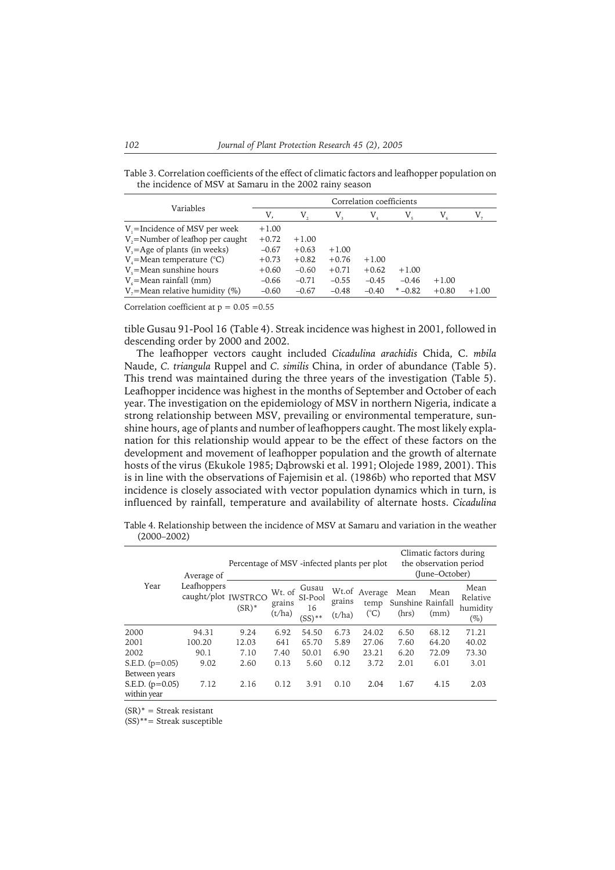Table 3. Correlation coefficients of the effect of climatic factors and leafhopper population on the incidence of MSV at Samaru in the 2002 rainy season

|                                         | Correlation coefficients |         |             |         |             |         |         |  |  |
|-----------------------------------------|--------------------------|---------|-------------|---------|-------------|---------|---------|--|--|
| Variables                               | V.                       | V,      | $V_{\rm a}$ | $V_{4}$ | $V_{\rm s}$ | $V_{6}$ |         |  |  |
| $V =$ Incidence of MSV per week         | $+1.00$                  |         |             |         |             |         |         |  |  |
| $V_{\nu}$ =Number of leafhop per caught | $+0.72$                  | $+1.00$ |             |         |             |         |         |  |  |
| $V = Age$ of plants (in weeks)          | $-0.67$                  | $+0.63$ | $+1.00$     |         |             |         |         |  |  |
| $V_4$ =Mean temperature (°C)            | $+0.73$                  | $+0.82$ | $+0.76$     | $+1.00$ |             |         |         |  |  |
| $Vs$ =Mean sunshine hours               | $+0.60$                  | $-0.60$ | $+0.71$     | $+0.62$ | $+1.00$     |         |         |  |  |
| $V_e$ =Mean rainfall (mm)               | $-0.66$                  | $-0.71$ | $-0.55$     | $-0.45$ | $-0.46$     | $+1.00$ |         |  |  |
| $V =$ Mean relative humidity (%)        | $-0.60$                  | $-0.67$ | $-0.48$     | $-0.40$ | $* -0.82$   | $+0.80$ | $+1.00$ |  |  |

Correlation coefficient at  $p = 0.05 = 0.55$ 

tible Gusau 91-Pool 16 (Table 4). Streak incidence was highest in 2001, followed in descending order by 2000 and 2002.

The leafhopper vectors caught included *Cicadulina arachidis* Chida, C. *mbila* Naude, *C. triangula* Ruppel and *C. similis* China, in order of abundance (Table 5). This trend was maintained during the three years of the investigation (Table 5). Leafhopper incidence was highest in the months of September and October of each year. The investigation on the epidemiology of MSV in northern Nigeria, indicate a strong relationship between MSV, prevailing or environmental temperature, sunshine hours, age of plants and number of leafhoppers caught. The most likely explanation for this relationship would appear to be the effect of these factors on the development and movement of leafhopper population and the growth of alternate hosts of the virus (Ekukole 1985; Dąbrowski et al. 1991; Olojede 1989, 2001). This is in line with the observations of Fajemisin et al. (1986b) who reported that MSV incidence is closely associated with vector population dynamics which in turn, is influenced by rainfall, temperature and availability of alternate hosts. *Cicadulina*

Table 4. Relationship between the incidence of MSV at Samaru and variation in the weather (2000–2002)

| Year                             | Average of<br>Leafhoppers<br>caught/plot IWSTRCO | Percentage of MSV-infected plants per plot |                            |                                     |                  |                              | Climatic factors during<br>the observation period<br>(June-October) |              |                                        |
|----------------------------------|--------------------------------------------------|--------------------------------------------|----------------------------|-------------------------------------|------------------|------------------------------|---------------------------------------------------------------------|--------------|----------------------------------------|
|                                  |                                                  | $(SR)^*$                                   | Wt. of<br>grains<br>(t/ha) | Gusau<br>SI-Pool<br>16<br>$(SS)$ ** | grains<br>(t/ha) | Wt.of Average<br>temp<br>(C) | Mean<br>Sunshine Rainfall<br>(hrs)                                  | Mean<br>(mm) | Mean<br>Relative<br>humidity<br>$(\%)$ |
| 2000                             | 94.31                                            | 9.24                                       | 6.92                       | 54.50                               | 6.73             | 24.02                        | 6.50                                                                | 68.12        | 71.21                                  |
| 2001                             | 100.20                                           | 12.03                                      | 641                        | 65.70                               | 5.89             | 27.06                        | 7.60                                                                | 64.20        | 40.02                                  |
| 2002                             | 90.1                                             | 7.10                                       | 7.40                       | 50.01                               | 6.90             | 23.21                        | 6.20                                                                | 72.09        | 73.30                                  |
| S.E.D. $(p=0.05)$                | 9.02                                             | 2.60                                       | 0.13                       | 5.60                                | 0.12             | 3.72                         | 2.01                                                                | 6.01         | 3.01                                   |
| Between years                    |                                                  |                                            |                            |                                     |                  |                              |                                                                     |              |                                        |
| S.E.D. $(p=0.05)$<br>within year | 7.12                                             | 2.16                                       | 0.12                       | 3.91                                | 0.10             | 2.04                         | 1.67                                                                | 4.15         | 2.03                                   |

 $(SR)^*$  = Streak resistant

(SS)\*\*= Streak susceptible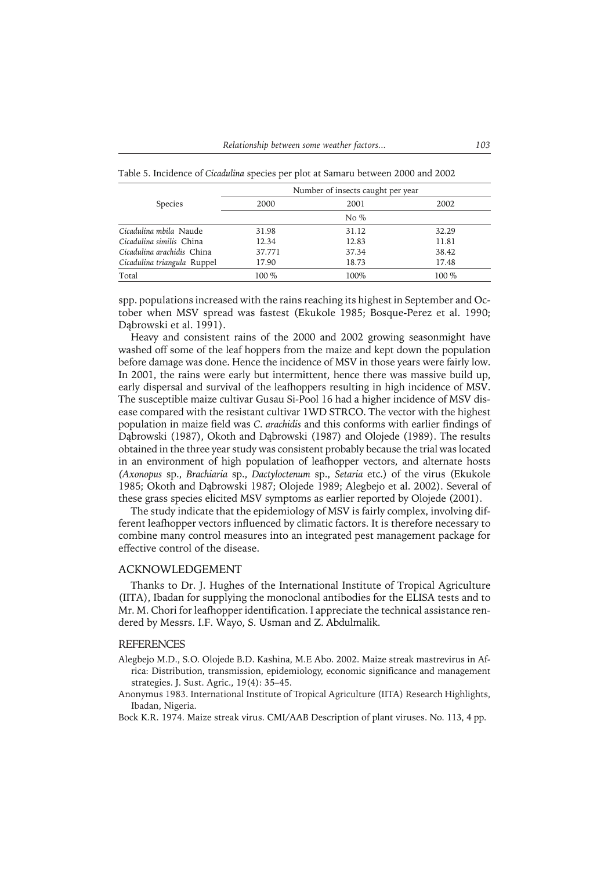Species Number of insects caught per year 2000 2001 2002 No % *Cicadulina mbila* Naude 31.98 31.12 32.29 *Cicadulina similis* China 12.34 12.83 *Cicadulina arachidis* China 37.771 37.34 38.42 *Cicadulina triangula* Ruppel 17.90 18.73 17.48 Total 100 % 100 % 100 % 100 % 100 % 100 % 100 % 100 % 100 % 100 % 100 % 100 % 100 % 100 % 100 % 100 % 100 % 100 % 100 % 100 % 100 % 100 % 100 % 100 % 100 % 100 % 100 % 100 % 100 % 100 % 100 % 100 % 100 % 100 % 100 % 100 %

Table 5. Incidence of *Cicadulina* species per plot at Samaru between 2000 and 2002

spp. populations increased with the rains reaching its highest in September and October when MSV spread was fastest (Ekukole 1985; Bosque-Perez et al. 1990; Dąbrowski et al. 1991).

Heavy and consistent rains of the 2000 and 2002 growing seasonmight have washed off some of the leaf hoppers from the maize and kept down the population before damage was done. Hence the incidence of MSV in those years were fairly low. In 2001, the rains were early but intermittent, hence there was massive build up, early dispersal and survival of the leafhoppers resulting in high incidence of MSV. The susceptible maize cultivar Gusau Si-Pool 16 had a higher incidence of MSV disease compared with the resistant cultivar 1WD STRCO. The vector with the highest population in maize field was *C. arachidis* and this conforms with earlier findings of Dąbrowski (1987), Okoth and Dąbrowski (1987) and Olojede (1989). The results obtained in the three year study was consistent probably because the trial was located in an environment of high population of leafhopper vectors, and alternate hosts *(Axonopus* sp., *Brachiaria* sp., *Dactyloctenum* sp., *Setaria* etc.) of the virus (Ekukole 1985; Okoth and Dąbrowski 1987; Olojede 1989; Alegbejo et al. 2002). Several of these grass species elicited MSV symptoms as earlier reported by Olojede (2001).

The study indicate that the epidemiology of MSV is fairly complex, involving different leafhopper vectors influenced by climatic factors. It is therefore necessary to combine many control measures into an integrated pest management package for effective control of the disease.

### ACKNOWLEDGEMENT

Thanks to Dr. J. Hughes of the International Institute of Tropical Agriculture (IITA), Ibadan for supplying the monoclonal antibodies for the ELISA tests and to Mr. M. Chori for leafhopper identification. I appreciate the technical assistance rendered by Messrs. I.F. Wayo, S. Usman and Z. Abdulmalik.

#### **REFERENCES**

- Alegbejo M.D., S.O. Olojede B.D. Kashina, M.E Abo. 2002. Maize streak mastrevirus in Africa: Distribution, transmission, epidemiology, economic significance and management strategies. J. Sust. Agric., 19(4): 35–45.
- Anonymus 1983. International Institute of Tropical Agriculture (IITA) Research Highlights, Ibadan, Nigeria.

Bock K.R. 1974. Maize streak virus. CMI/AAB Description of plant viruses. No. 113, 4 pp.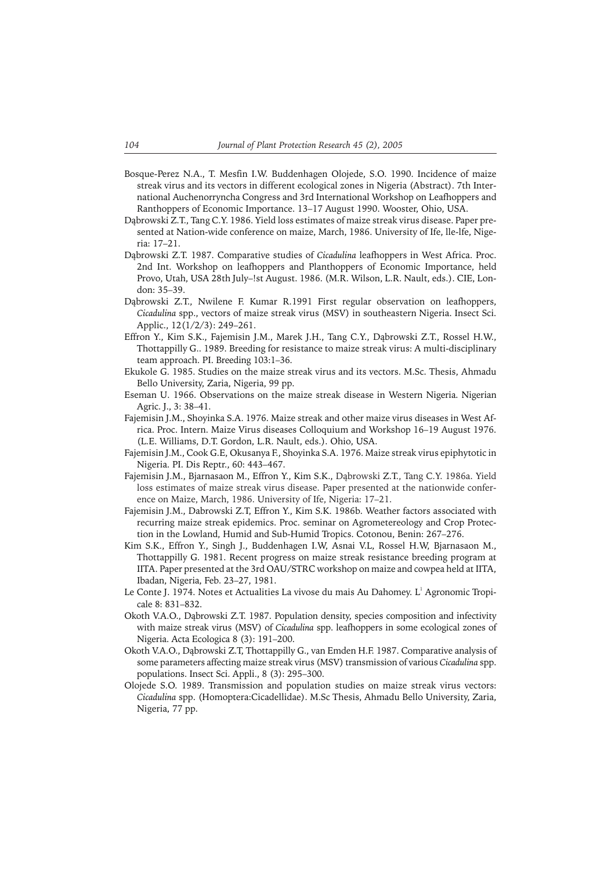- Bosque-Perez N.A., T. Mesfin I.W. Buddenhagen Olojede, S.O. 1990. Incidence of maize streak virus and its vectors in different ecological zones in Nigeria (Abstract). 7th International Auchenorryncha Congress and 3rd International Workshop on Leafhoppers and Ranthoppers of Economic Importance. 13–17 August 1990. Wooster, Ohio, USA.
- Dąbrowski Z.T., Tang C.Y. 1986. Yield loss estimates of maize streak virus disease. Paper presented at Nation-wide conference on maize, March, 1986. University of Ife, lle-lfe, Nigeria: 17–21.
- Dąbrowski Z.T. 1987. Comparative studies of *Cicadulina* leafhoppers in West Africa. Proc. 2nd Int. Workshop on leafhoppers and Planthoppers of Economic Importance, held Provo, Utah, USA 28th July–!st August. 1986. (M.R. Wilson, L.R. Nault, eds.). CIE, London: 35–39.
- Dąbrowski Z.T., Nwilene F. Kumar R.1991 First regular observation on leafhoppers, *Cicadulina* spp., vectors of maize streak virus (MSV) in southeastern Nigeria. Insect Sci. Applic., 12(1/2/3): 249–261.
- Effron Y., Kim S.K., Fajemisin J.M., Marek J.H., Tang C.Y., Dąbrowski Z.T., Rossel H.W., Thottappilly G.. 1989. Breeding for resistance to maize streak virus: A multi-disciplinary team approach. PI. Breeding 103:1–36.
- Ekukole G. 1985. Studies on the maize streak virus and its vectors. M.Sc. Thesis, Ahmadu Bello University, Zaria, Nigeria, 99 pp.
- Eseman U. 1966. Observations on the maize streak disease in Western Nigeria. Nigerian Agric. J., 3: 38–41.
- Fajemisin J.M., Shoyinka S.A. 1976. Maize streak and other maize virus diseases in West Africa. Proc. Intern. Maize Virus diseases Colloquium and Workshop 16–19 August 1976. (L.E. Williams, D.T. Gordon, L.R. Nault, eds.). Ohio, USA.
- Fajemisin J.M., Cook G.E, Okusanya F., Shoyinka S.A. 1976. Maize streak virus epiphytoticin Nigeria. PI. Dis Reptr., 60: 443–467.
- Fajemisin J.M., Bjarnasaon M., Effron Y., Kim S.K., Dąbrowski Z.T., Tang C.Y. 1986a. Yield loss estimates of maize streak virus disease. Paper presented at the nationwide conference on Maize, March, 1986. University of Ife, Nigeria: 17–21.
- Fajemisin J.M., Dabrowski Z.T, Effron Y., Kim S.K. 1986b. Weather factors associated with recurring maize streak epidemics. Proc. seminar on Agrometereology and Crop Protection in the Lowland, Humid and Sub-Humid Tropics. Cotonou, Benin: 267–276.
- Kim S.K., Effron Y., Singh J., Buddenhagen I.W, Asnai V.L, Rossel H.W, Bjarnasaon M., Thottappilly G. 1981. Recent progress on maize streak resistance breeding program at IITA. Paper presented at the 3rd OAU/STRC workshop on maize and cowpea held at IITA, Ibadan, Nigeria, Feb. 23–27, 1981.
- Le Conte J. 1974. Notes et Actualities La vivose du mais Au Dahomey. L $^1$  Agronomic Tropicale 8: 831–832.
- Okoth V.A.O., Dąbrowski Z.T. 1987. Population density, species composition and infectivity with maize streak virus (MSV) of *Cicadulina* spp. leafhoppers in some ecological zones of Nigeria. Acta Ecologica 8 (3): 191–200.
- Okoth V.A.O., Dąbrowski Z.T, Thottappilly G., van Emden H.F. 1987. Comparative analysis of some parameters affecting maize streak virus (MSV) transmission of various *Cicadulina* spp. populations. Insect Sci. Appli., 8 (3): 295–300.
- Olojede S.O. 1989. Transmission and population studies on maize streak virus vectors: *Cicadulina* spp. (Homoptera:Cicadellidae). M.Sc Thesis, Ahmadu Bello University, Zaria, Nigeria, 77 pp.